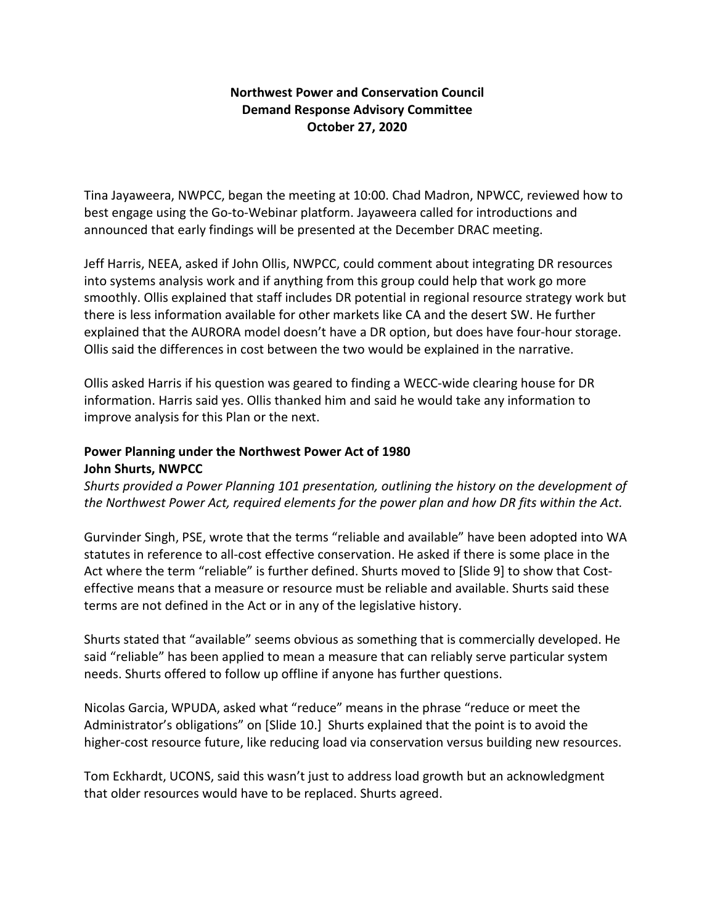## **Northwest Power and Conservation Council Demand Response Advisory Committee October 27, 2020**

Tina Jayaweera, NWPCC, began the meeting at 10:00. Chad Madron, NPWCC, reviewed how to best engage using the Go-to-Webinar platform. Jayaweera called for introductions and announced that early findings will be presented at the December DRAC meeting.

Jeff Harris, NEEA, asked if John Ollis, NWPCC, could comment about integrating DR resources into systems analysis work and if anything from this group could help that work go more smoothly. Ollis explained that staff includes DR potential in regional resource strategy work but there is less information available for other markets like CA and the desert SW. He further explained that the AURORA model doesn't have a DR option, but does have four-hour storage. Ollis said the differences in cost between the two would be explained in the narrative.

Ollis asked Harris if his question was geared to finding a WECC-wide clearing house for DR information. Harris said yes. Ollis thanked him and said he would take any information to improve analysis for this Plan or the next.

# **Power Planning under the Northwest Power Act of 1980 John Shurts, NWPCC**

*Shurts provided a Power Planning 101 presentation, outlining the history on the development of the Northwest Power Act, required elements for the power plan and how DR fits within the Act.*

Gurvinder Singh, PSE, wrote that the terms "reliable and available" have been adopted into WA statutes in reference to all-cost effective conservation. He asked if there is some place in the Act where the term "reliable" is further defined. Shurts moved to [Slide 9] to show that Costeffective means that a measure or resource must be reliable and available. Shurts said these terms are not defined in the Act or in any of the legislative history.

Shurts stated that "available" seems obvious as something that is commercially developed. He said "reliable" has been applied to mean a measure that can reliably serve particular system needs. Shurts offered to follow up offline if anyone has further questions.

Nicolas Garcia, WPUDA, asked what "reduce" means in the phrase "reduce or meet the Administrator's obligations" on [Slide 10.] Shurts explained that the point is to avoid the higher-cost resource future, like reducing load via conservation versus building new resources.

Tom Eckhardt, UCONS, said this wasn't just to address load growth but an acknowledgment that older resources would have to be replaced. Shurts agreed.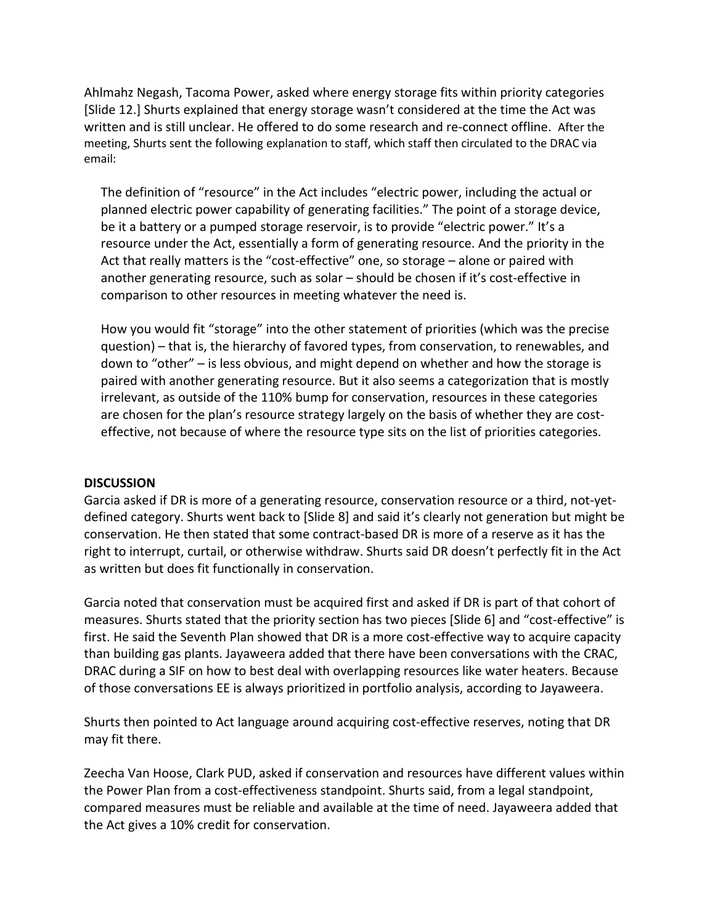Ahlmahz Negash, Tacoma Power, asked where energy storage fits within priority categories [Slide 12.] Shurts explained that energy storage wasn't considered at the time the Act was written and is still unclear. He offered to do some research and re-connect offline. After the meeting, Shurts sent the following explanation to staff, which staff then circulated to the DRAC via email:

The definition of "resource" in the Act includes "electric power, including the actual or planned electric power capability of generating facilities." The point of a storage device, be it a battery or a pumped storage reservoir, is to provide "electric power." It's a resource under the Act, essentially a form of generating resource. And the priority in the Act that really matters is the "cost-effective" one, so storage – alone or paired with another generating resource, such as solar – should be chosen if it's cost-effective in comparison to other resources in meeting whatever the need is.

How you would fit "storage" into the other statement of priorities (which was the precise question) – that is, the hierarchy of favored types, from conservation, to renewables, and down to "other" – is less obvious, and might depend on whether and how the storage is paired with another generating resource. But it also seems a categorization that is mostly irrelevant, as outside of the 110% bump for conservation, resources in these categories are chosen for the plan's resource strategy largely on the basis of whether they are costeffective, not because of where the resource type sits on the list of priorities categories.

#### **DISCUSSION**

Garcia asked if DR is more of a generating resource, conservation resource or a third, not-yetdefined category. Shurts went back to [Slide 8] and said it's clearly not generation but might be conservation. He then stated that some contract-based DR is more of a reserve as it has the right to interrupt, curtail, or otherwise withdraw. Shurts said DR doesn't perfectly fit in the Act as written but does fit functionally in conservation.

Garcia noted that conservation must be acquired first and asked if DR is part of that cohort of measures. Shurts stated that the priority section has two pieces [Slide 6] and "cost-effective" is first. He said the Seventh Plan showed that DR is a more cost-effective way to acquire capacity than building gas plants. Jayaweera added that there have been conversations with the CRAC, DRAC during a SIF on how to best deal with overlapping resources like water heaters. Because of those conversations EE is always prioritized in portfolio analysis, according to Jayaweera.

Shurts then pointed to Act language around acquiring cost-effective reserves, noting that DR may fit there.

Zeecha Van Hoose, Clark PUD, asked if conservation and resources have different values within the Power Plan from a cost-effectiveness standpoint. Shurts said, from a legal standpoint, compared measures must be reliable and available at the time of need. Jayaweera added that the Act gives a 10% credit for conservation.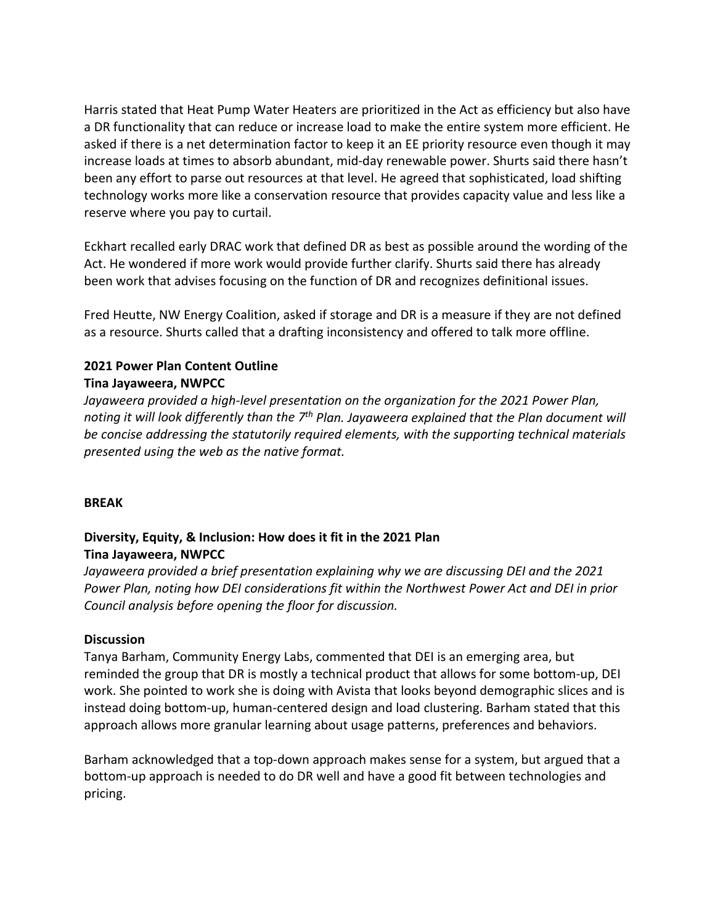Harris stated that Heat Pump Water Heaters are prioritized in the Act as efficiency but also have a DR functionality that can reduce or increase load to make the entire system more efficient. He asked if there is a net determination factor to keep it an EE priority resource even though it may increase loads at times to absorb abundant, mid-day renewable power. Shurts said there hasn't been any effort to parse out resources at that level. He agreed that sophisticated, load shifting technology works more like a conservation resource that provides capacity value and less like a reserve where you pay to curtail.

Eckhart recalled early DRAC work that defined DR as best as possible around the wording of the Act. He wondered if more work would provide further clarify. Shurts said there has already been work that advises focusing on the function of DR and recognizes definitional issues.

Fred Heutte, NW Energy Coalition, asked if storage and DR is a measure if they are not defined as a resource. Shurts called that a drafting inconsistency and offered to talk more offline.

#### **2021 Power Plan Content Outline Tina Jayaweera, NWPCC**

*Jayaweera provided a high-level presentation on the organization for the 2021 Power Plan, noting it will look differently than the 7th Plan. Jayaweera explained that the Plan document will be concise addressing the statutorily required elements, with the supporting technical materials presented using the web as the native format.* 

## **BREAK**

### **Diversity, Equity, & Inclusion: How does it fit in the 2021 Plan Tina Jayaweera, NWPCC**

*Jayaweera provided a brief presentation explaining why we are discussing DEI and the 2021 Power Plan, noting how DEI considerations fit within the Northwest Power Act and DEI in prior Council analysis before opening the floor for discussion.* 

#### **Discussion**

Tanya Barham, Community Energy Labs, commented that DEI is an emerging area, but reminded the group that DR is mostly a technical product that allows for some bottom-up, DEI work. She pointed to work she is doing with Avista that looks beyond demographic slices and is instead doing bottom-up, human-centered design and load clustering. Barham stated that this approach allows more granular learning about usage patterns, preferences and behaviors.

Barham acknowledged that a top-down approach makes sense for a system, but argued that a bottom-up approach is needed to do DR well and have a good fit between technologies and pricing.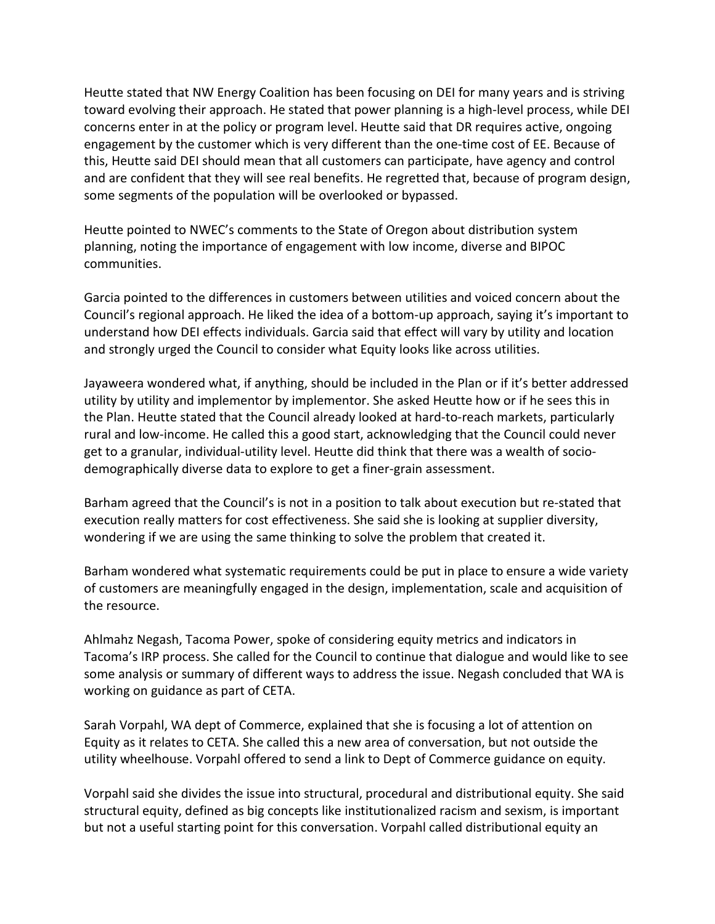Heutte stated that NW Energy Coalition has been focusing on DEI for many years and is striving toward evolving their approach. He stated that power planning is a high-level process, while DEI concerns enter in at the policy or program level. Heutte said that DR requires active, ongoing engagement by the customer which is very different than the one-time cost of EE. Because of this, Heutte said DEI should mean that all customers can participate, have agency and control and are confident that they will see real benefits. He regretted that, because of program design, some segments of the population will be overlooked or bypassed.

Heutte pointed to NWEC's comments to the State of Oregon about distribution system planning, noting the importance of engagement with low income, diverse and BIPOC communities.

Garcia pointed to the differences in customers between utilities and voiced concern about the Council's regional approach. He liked the idea of a bottom-up approach, saying it's important to understand how DEI effects individuals. Garcia said that effect will vary by utility and location and strongly urged the Council to consider what Equity looks like across utilities.

Jayaweera wondered what, if anything, should be included in the Plan or if it's better addressed utility by utility and implementor by implementor. She asked Heutte how or if he sees this in the Plan. Heutte stated that the Council already looked at hard-to-reach markets, particularly rural and low-income. He called this a good start, acknowledging that the Council could never get to a granular, individual-utility level. Heutte did think that there was a wealth of sociodemographically diverse data to explore to get a finer-grain assessment.

Barham agreed that the Council's is not in a position to talk about execution but re-stated that execution really matters for cost effectiveness. She said she is looking at supplier diversity, wondering if we are using the same thinking to solve the problem that created it.

Barham wondered what systematic requirements could be put in place to ensure a wide variety of customers are meaningfully engaged in the design, implementation, scale and acquisition of the resource.

Ahlmahz Negash, Tacoma Power, spoke of considering equity metrics and indicators in Tacoma's IRP process. She called for the Council to continue that dialogue and would like to see some analysis or summary of different ways to address the issue. Negash concluded that WA is working on guidance as part of CETA.

Sarah Vorpahl, WA dept of Commerce, explained that she is focusing a lot of attention on Equity as it relates to CETA. She called this a new area of conversation, but not outside the utility wheelhouse. Vorpahl offered to send a link to Dept of Commerce guidance on equity.

Vorpahl said she divides the issue into structural, procedural and distributional equity. She said structural equity, defined as big concepts like institutionalized racism and sexism, is important but not a useful starting point for this conversation. Vorpahl called distributional equity an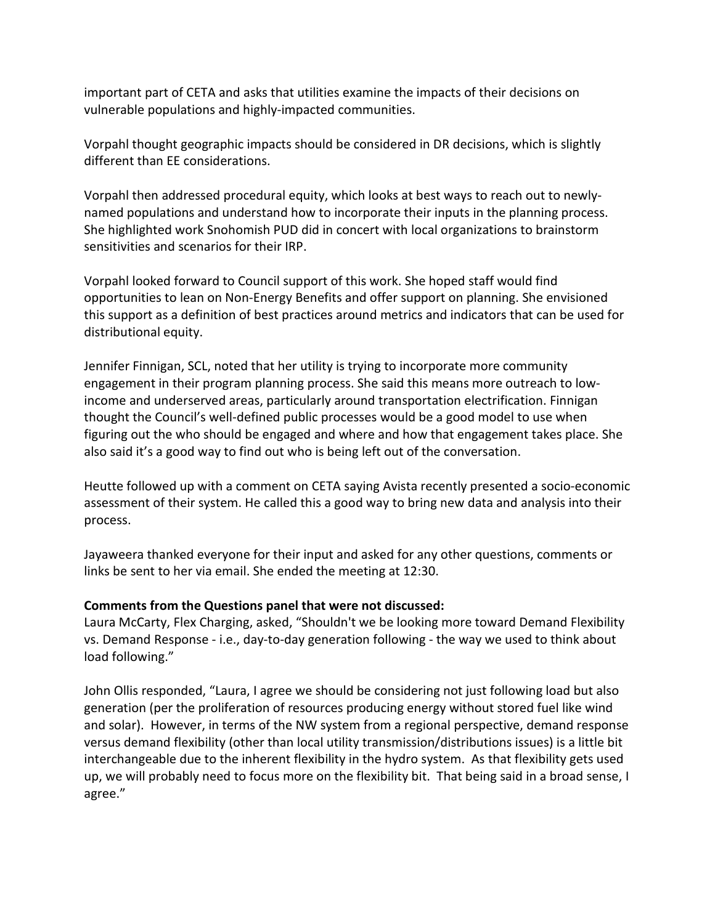important part of CETA and asks that utilities examine the impacts of their decisions on vulnerable populations and highly-impacted communities.

Vorpahl thought geographic impacts should be considered in DR decisions, which is slightly different than EE considerations.

Vorpahl then addressed procedural equity, which looks at best ways to reach out to newlynamed populations and understand how to incorporate their inputs in the planning process. She highlighted work Snohomish PUD did in concert with local organizations to brainstorm sensitivities and scenarios for their IRP.

Vorpahl looked forward to Council support of this work. She hoped staff would find opportunities to lean on Non-Energy Benefits and offer support on planning. She envisioned this support as a definition of best practices around metrics and indicators that can be used for distributional equity.

Jennifer Finnigan, SCL, noted that her utility is trying to incorporate more community engagement in their program planning process. She said this means more outreach to lowincome and underserved areas, particularly around transportation electrification. Finnigan thought the Council's well-defined public processes would be a good model to use when figuring out the who should be engaged and where and how that engagement takes place. She also said it's a good way to find out who is being left out of the conversation.

Heutte followed up with a comment on CETA saying Avista recently presented a socio-economic assessment of their system. He called this a good way to bring new data and analysis into their process.

Jayaweera thanked everyone for their input and asked for any other questions, comments or links be sent to her via email. She ended the meeting at 12:30.

## **Comments from the Questions panel that were not discussed:**

Laura McCarty, Flex Charging, asked, "Shouldn't we be looking more toward Demand Flexibility vs. Demand Response - i.e., day-to-day generation following - the way we used to think about load following."

John Ollis responded, "Laura, I agree we should be considering not just following load but also generation (per the proliferation of resources producing energy without stored fuel like wind and solar). However, in terms of the NW system from a regional perspective, demand response versus demand flexibility (other than local utility transmission/distributions issues) is a little bit interchangeable due to the inherent flexibility in the hydro system. As that flexibility gets used up, we will probably need to focus more on the flexibility bit. That being said in a broad sense, I agree."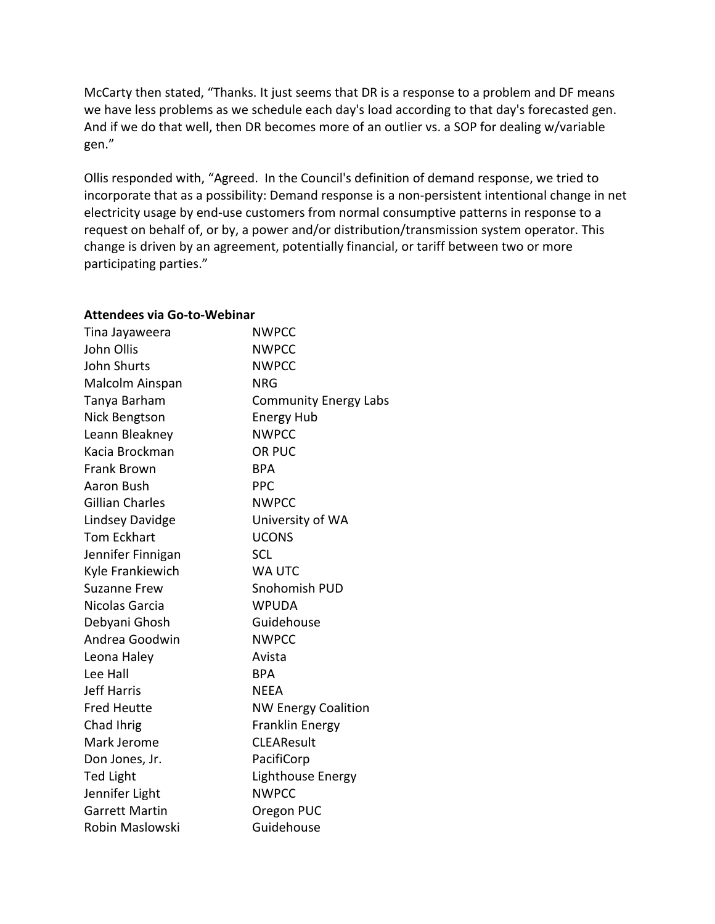McCarty then stated, "Thanks. It just seems that DR is a response to a problem and DF means we have less problems as we schedule each day's load according to that day's forecasted gen. And if we do that well, then DR becomes more of an outlier vs. a SOP for dealing w/variable gen."

Ollis responded with, "Agreed. In the Council's definition of demand response, we tried to incorporate that as a possibility: Demand response is a non-persistent intentional change in net electricity usage by end-use customers from normal consumptive patterns in response to a request on behalf of, or by, a power and/or distribution/transmission system operator. This change is driven by an agreement, potentially financial, or tariff between two or more participating parties."

| Tina Jayaweera         | <b>NWPCC</b>                 |
|------------------------|------------------------------|
| John Ollis             | <b>NWPCC</b>                 |
| <b>John Shurts</b>     | <b>NWPCC</b>                 |
| Malcolm Ainspan        | <b>NRG</b>                   |
| Tanya Barham           | <b>Community Energy Labs</b> |
| Nick Bengtson          | <b>Energy Hub</b>            |
| Leann Bleakney         | <b>NWPCC</b>                 |
| Kacia Brockman         | OR PUC                       |
| <b>Frank Brown</b>     | <b>BPA</b>                   |
| Aaron Bush             | <b>PPC</b>                   |
| <b>Gillian Charles</b> | <b>NWPCC</b>                 |
| Lindsey Davidge        | University of WA             |
| <b>Tom Eckhart</b>     | <b>UCONS</b>                 |
| Jennifer Finnigan      | <b>SCL</b>                   |
| Kyle Frankiewich       | <b>WA UTC</b>                |
| <b>Suzanne Frew</b>    | Snohomish PUD                |
| Nicolas Garcia         | <b>WPUDA</b>                 |
| Debyani Ghosh          | Guidehouse                   |
| Andrea Goodwin         | <b>NWPCC</b>                 |
| Leona Haley            | Avista                       |
| Lee Hall               | <b>BPA</b>                   |
| <b>Jeff Harris</b>     | <b>NEEA</b>                  |
| <b>Fred Heutte</b>     | <b>NW Energy Coalition</b>   |
| Chad Ihrig             | <b>Franklin Energy</b>       |
| Mark Jerome            | <b>CLEAResult</b>            |
| Don Jones, Jr.         | PacifiCorp                   |
| <b>Ted Light</b>       | Lighthouse Energy            |
| Jennifer Light         | <b>NWPCC</b>                 |
| <b>Garrett Martin</b>  | Oregon PUC                   |
| Robin Maslowski        | Guidehouse                   |

#### **Attendees via Go-to-Webinar**